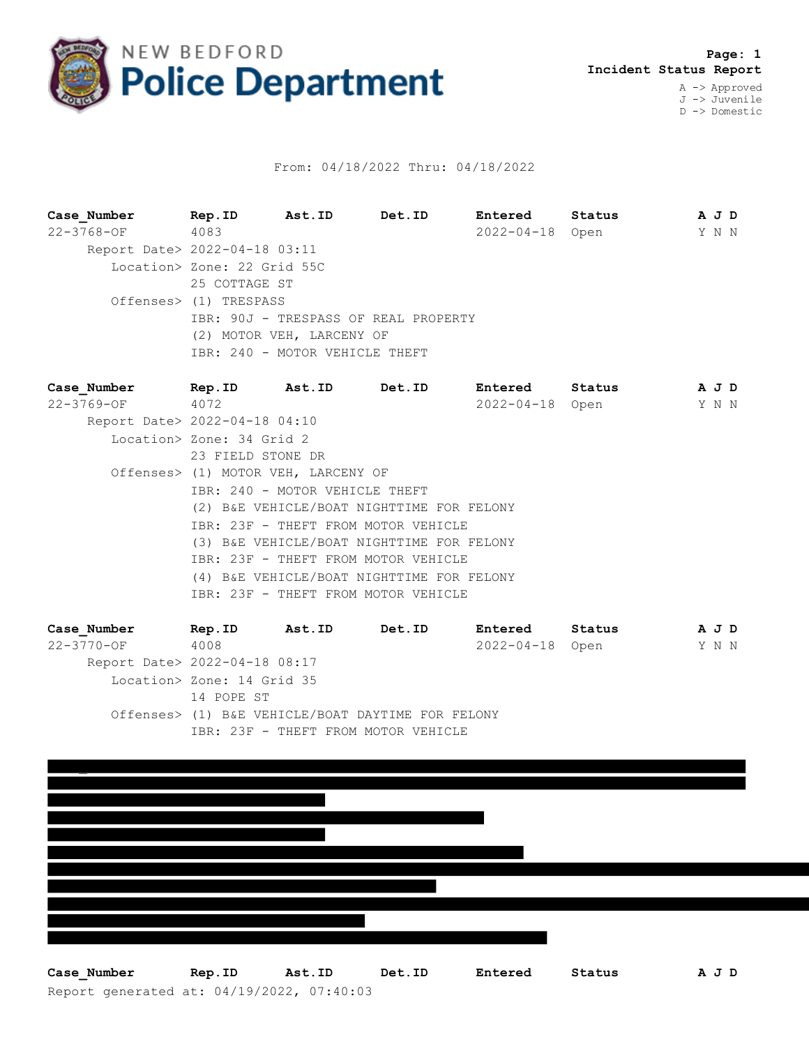

## From: 04/18/2022 Thru: 04/18/2022

**Case\_Number Rep.ID Ast.ID Det.ID Entered Status A J D** 22-3768-OF 4083 2022-04-18 Open Y N N Report Date> 2022-04-18 03:11 Location> Zone: 22 Grid 55C 25 COTTAGE ST Offenses> (1) TRESPASS IBR: 90J - TRESPASS OF REAL PROPERTY (2) MOTOR VEH, LARCENY OF IBR: 240 - MOTOR VEHICLE THEFT

**Case\_Number Rep.ID Ast.ID Det.ID Entered Status A J D** 22-3769-OF 4072 2022-04-18 Open Y N N Report Date> 2022-04-18 04:10 Location> Zone: 34 Grid 2 23 FIELD STONE DR Offenses> (1) MOTOR VEH, LARCENY OF IBR: 240 - MOTOR VEHICLE THEFT (2) B&E VEHICLE/BOAT NIGHTTIME FOR FELONY IBR: 23F - THEFT FROM MOTOR VEHICLE (3) B&E VEHICLE/BOAT NIGHTTIME FOR FELONY IBR: 23F - THEFT FROM MOTOR VEHICLE (4) B&E VEHICLE/BOAT NIGHTTIME FOR FELONY IBR: 23F - THEFT FROM MOTOR VEHICLE

**Case\_Number Rep.ID Ast.ID Det.ID Entered Status A J D** 22-3770-OF 4008 2022-04-18 Open Y N N Report Date> 2022-04-18 08:17 Location> Zone: 14 Grid 35 14 POPE ST Offenses> (1) B&E VEHICLE/BOAT DAYTIME FOR FELONY IBR: 23F - THEFT FROM MOTOR VEHICLE



Report generated at: 04/19/2022, 07:40:03 **Case\_Number Rep.ID Ast.ID Det.ID Entered Status A J D**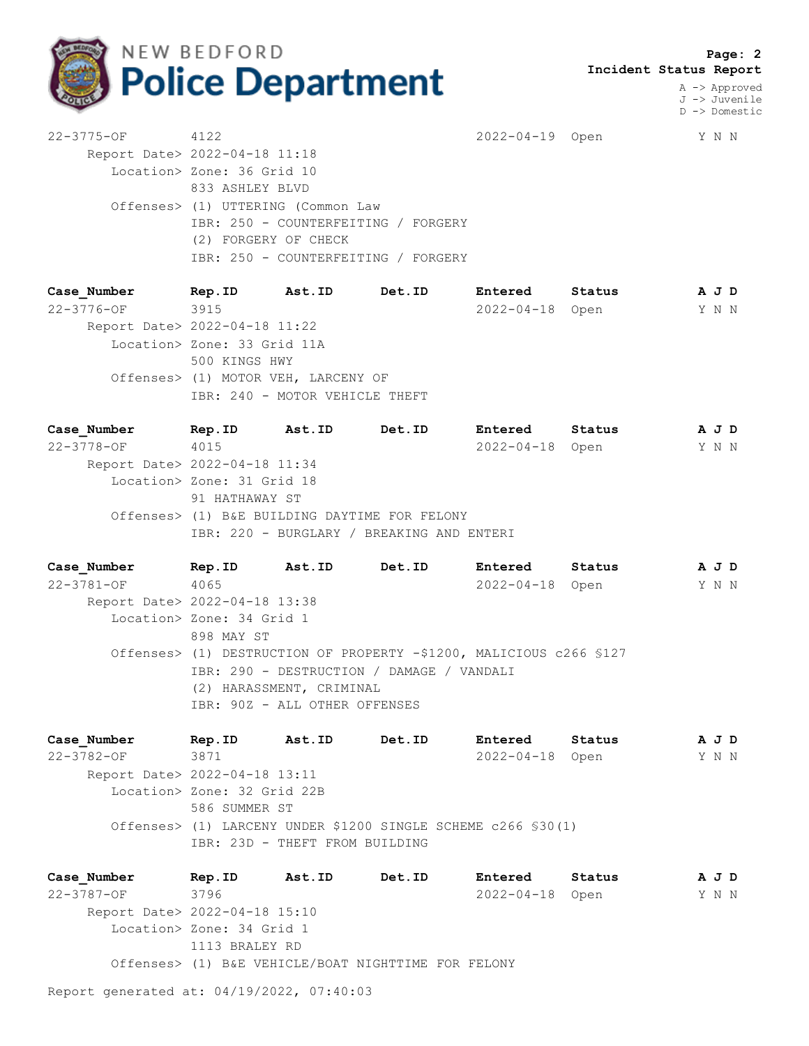

 **Page: 2 Incident Status Report**

> A -> Approved J -> Juvenile D -> Domestic

22-3775-OF 4122 2022-04-19 Open Y N N Report Date> 2022-04-18 11:18 Location> Zone: 36 Grid 10 833 ASHLEY BLVD Offenses> (1) UTTERING (Common Law IBR: 250 - COUNTERFEITING / FORGERY (2) FORGERY OF CHECK IBR: 250 - COUNTERFEITING / FORGERY

**Case\_Number Rep.ID Ast.ID Det.ID Entered Status A J D** 22-3776-OF 3915 2022-04-18 Open Y N N Report Date> 2022-04-18 11:22 Location> Zone: 33 Grid 11A 500 KINGS HWY Offenses> (1) MOTOR VEH, LARCENY OF IBR: 240 - MOTOR VEHICLE THEFT

**Case\_Number Rep.ID Ast.ID Det.ID Entered Status A J D** 22-3778-OF 4015 2022-04-18 Open Y N N Report Date> 2022-04-18 11:34 Location> Zone: 31 Grid 18 91 HATHAWAY ST Offenses> (1) B&E BUILDING DAYTIME FOR FELONY IBR: 220 - BURGLARY / BREAKING AND ENTERI

**Case\_Number Rep.ID Ast.ID Det.ID Entered Status A J D** 22-3781-OF 4065 2022-04-18 Open Y N N Report Date> 2022-04-18 13:38 Location> Zone: 34 Grid 1 898 MAY ST Offenses> (1) DESTRUCTION OF PROPERTY -\$1200, MALICIOUS c266 §127 IBR: 290 - DESTRUCTION / DAMAGE / VANDALI (2) HARASSMENT, CRIMINAL IBR: 90Z - ALL OTHER OFFENSES

**Case\_Number Rep.ID Ast.ID Det.ID Entered Status A J D** 22-3782-OF 3871 2022-04-18 Open Y N N Report Date> 2022-04-18 13:11 Location> Zone: 32 Grid 22B 586 SUMMER ST Offenses> (1) LARCENY UNDER \$1200 SINGLE SCHEME c266 §30(1) IBR: 23D - THEFT FROM BUILDING

**Case\_Number Rep.ID Ast.ID Det.ID Entered Status A J D** 22-3787-OF 3796 2022-04-18 Open Y N N Report Date> 2022-04-18 15:10 Location> Zone: 34 Grid 1 1113 BRALEY RD Offenses> (1) B&E VEHICLE/BOAT NIGHTTIME FOR FELONY